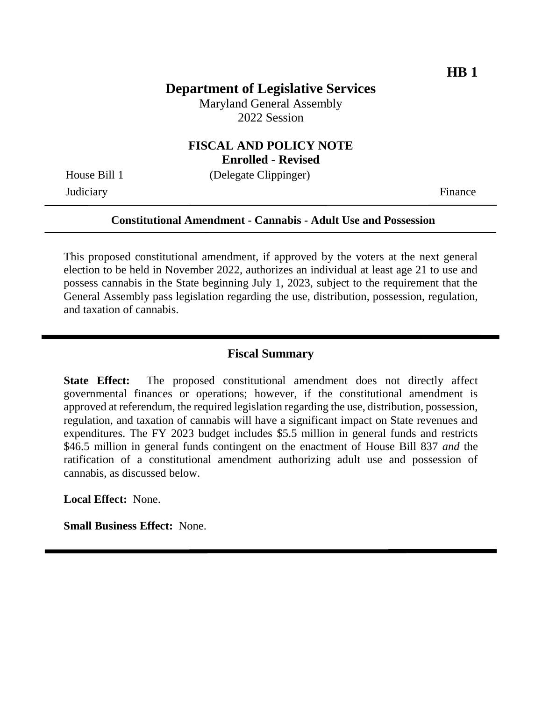## **Department of Legislative Services**

Maryland General Assembly 2022 Session

#### **FISCAL AND POLICY NOTE Enrolled - Revised**

Judiciary Finance

House Bill 1 (Delegate Clippinger)

#### **Constitutional Amendment - Cannabis - Adult Use and Possession**

This proposed constitutional amendment, if approved by the voters at the next general election to be held in November 2022, authorizes an individual at least age 21 to use and possess cannabis in the State beginning July 1, 2023, subject to the requirement that the General Assembly pass legislation regarding the use, distribution, possession, regulation, and taxation of cannabis.

#### **Fiscal Summary**

**State Effect:** The proposed constitutional amendment does not directly affect governmental finances or operations; however, if the constitutional amendment is approved at referendum, the required legislation regarding the use, distribution, possession, regulation, and taxation of cannabis will have a significant impact on State revenues and expenditures. The FY 2023 budget includes \$5.5 million in general funds and restricts \$46.5 million in general funds contingent on the enactment of House Bill 837 *and* the ratification of a constitutional amendment authorizing adult use and possession of cannabis, as discussed below.

**Local Effect:** None.

**Small Business Effect:** None.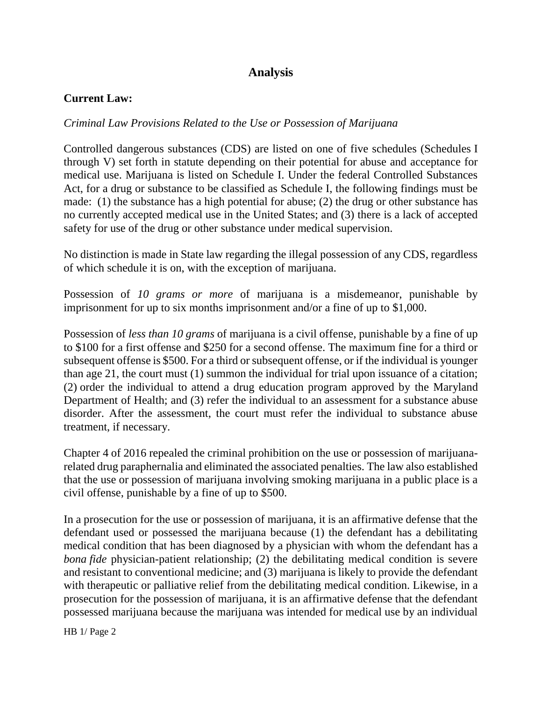# **Analysis**

## **Current Law:**

## *Criminal Law Provisions Related to the Use or Possession of Marijuana*

Controlled dangerous substances (CDS) are listed on one of five schedules (Schedules I through V) set forth in statute depending on their potential for abuse and acceptance for medical use. Marijuana is listed on Schedule I. Under the federal Controlled Substances Act, for a drug or substance to be classified as Schedule I, the following findings must be made: (1) the substance has a high potential for abuse; (2) the drug or other substance has no currently accepted medical use in the United States; and (3) there is a lack of accepted safety for use of the drug or other substance under medical supervision.

No distinction is made in State law regarding the illegal possession of any CDS, regardless of which schedule it is on, with the exception of marijuana.

Possession of *10 grams or more* of marijuana is a misdemeanor, punishable by imprisonment for up to six months imprisonment and/or a fine of up to \$1,000.

Possession of *less than 10 grams* of marijuana is a civil offense, punishable by a fine of up to \$100 for a first offense and \$250 for a second offense. The maximum fine for a third or subsequent offense is \$500. For a third or subsequent offense, or if the individual is younger than age 21, the court must (1) summon the individual for trial upon issuance of a citation; (2) order the individual to attend a drug education program approved by the Maryland Department of Health; and (3) refer the individual to an assessment for a substance abuse disorder. After the assessment, the court must refer the individual to substance abuse treatment, if necessary.

Chapter 4 of 2016 repealed the criminal prohibition on the use or possession of marijuanarelated drug paraphernalia and eliminated the associated penalties. The law also established that the use or possession of marijuana involving smoking marijuana in a public place is a civil offense, punishable by a fine of up to \$500.

In a prosecution for the use or possession of marijuana, it is an affirmative defense that the defendant used or possessed the marijuana because (1) the defendant has a debilitating medical condition that has been diagnosed by a physician with whom the defendant has a *bona fide* physician-patient relationship; (2) the debilitating medical condition is severe and resistant to conventional medicine; and (3) marijuana is likely to provide the defendant with therapeutic or palliative relief from the debilitating medical condition. Likewise, in a prosecution for the possession of marijuana, it is an affirmative defense that the defendant possessed marijuana because the marijuana was intended for medical use by an individual

HB 1/ Page 2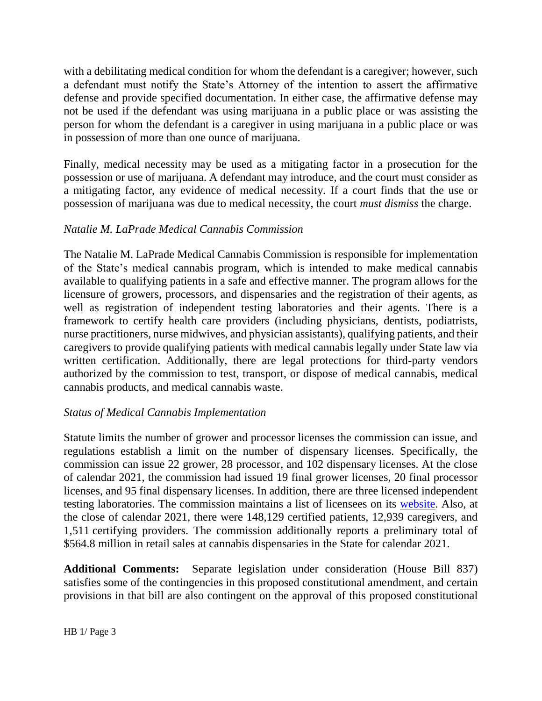with a debilitating medical condition for whom the defendant is a caregiver; however, such a defendant must notify the State's Attorney of the intention to assert the affirmative defense and provide specified documentation. In either case, the affirmative defense may not be used if the defendant was using marijuana in a public place or was assisting the person for whom the defendant is a caregiver in using marijuana in a public place or was in possession of more than one ounce of marijuana.

Finally, medical necessity may be used as a mitigating factor in a prosecution for the possession or use of marijuana. A defendant may introduce, and the court must consider as a mitigating factor, any evidence of medical necessity. If a court finds that the use or possession of marijuana was due to medical necessity, the court *must dismiss* the charge.

## *Natalie M. LaPrade Medical Cannabis Commission*

The Natalie M. LaPrade Medical Cannabis Commission is responsible for implementation of the State's medical cannabis program, which is intended to make medical cannabis available to qualifying patients in a safe and effective manner. The program allows for the licensure of growers, processors, and dispensaries and the registration of their agents, as well as registration of independent testing laboratories and their agents. There is a framework to certify health care providers (including physicians, dentists, podiatrists, nurse practitioners, nurse midwives, and physician assistants), qualifying patients, and their caregivers to provide qualifying patients with medical cannabis legally under State law via written certification. Additionally, there are legal protections for third-party vendors authorized by the commission to test, transport, or dispose of medical cannabis, medical cannabis products, and medical cannabis waste.

# *Status of Medical Cannabis Implementation*

Statute limits the number of grower and processor licenses the commission can issue, and regulations establish a limit on the number of dispensary licenses. Specifically, the commission can issue 22 grower, 28 processor, and 102 dispensary licenses. At the close of calendar 2021, the commission had issued 19 final grower licenses, 20 final processor licenses, and 95 final dispensary licenses. In addition, there are three licensed independent testing laboratories. The commission maintains a list of licensees on its [website.](https://mmcc.maryland.gov/Pages/industry.aspx) Also, at the close of calendar 2021, there were 148,129 certified patients, 12,939 caregivers, and 1,511 certifying providers. The commission additionally reports a preliminary total of \$564.8 million in retail sales at cannabis dispensaries in the State for calendar 2021.

**Additional Comments:** Separate legislation under consideration (House Bill 837) satisfies some of the contingencies in this proposed constitutional amendment, and certain provisions in that bill are also contingent on the approval of this proposed constitutional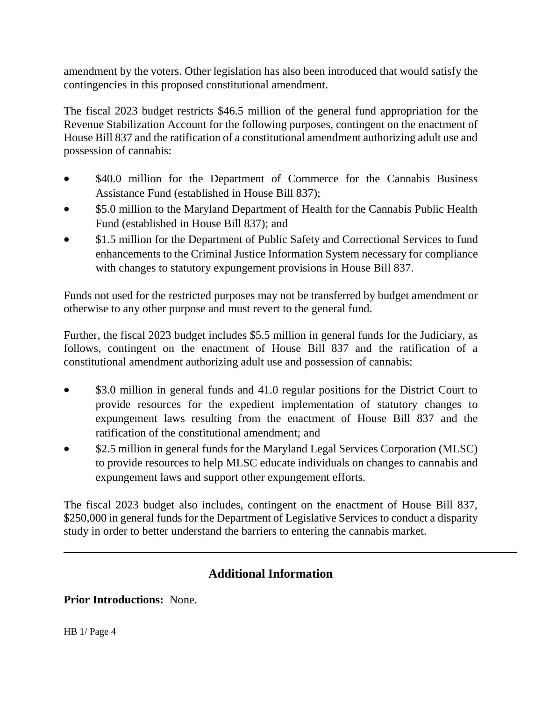amendment by the voters. Other legislation has also been introduced that would satisfy the contingencies in this proposed constitutional amendment.

The fiscal 2023 budget restricts \$46.5 million of the general fund appropriation for the Revenue Stabilization Account for the following purposes, contingent on the enactment of House Bill 837 and the ratification of a constitutional amendment authorizing adult use and possession of cannabis:

- \$40.0 million for the Department of Commerce for the Cannabis Business Assistance Fund (established in House Bill 837);
- \$5.0 million to the Maryland Department of Health for the Cannabis Public Health Fund (established in House Bill 837); and
- \$1.5 million for the Department of Public Safety and Correctional Services to fund enhancements to the Criminal Justice Information System necessary for compliance with changes to statutory expungement provisions in House Bill 837.

Funds not used for the restricted purposes may not be transferred by budget amendment or otherwise to any other purpose and must revert to the general fund.

Further, the fiscal 2023 budget includes \$5.5 million in general funds for the Judiciary, as follows, contingent on the enactment of House Bill 837 and the ratification of a constitutional amendment authorizing adult use and possession of cannabis:

- \$3.0 million in general funds and 41.0 regular positions for the District Court to provide resources for the expedient implementation of statutory changes to expungement laws resulting from the enactment of House Bill 837 and the ratification of the constitutional amendment; and
- \$2.5 million in general funds for the Maryland Legal Services Corporation (MLSC) to provide resources to help MLSC educate individuals on changes to cannabis and expungement laws and support other expungement efforts.

The fiscal 2023 budget also includes, contingent on the enactment of House Bill 837, \$250,000 in general funds for the Department of Legislative Services to conduct a disparity study in order to better understand the barriers to entering the cannabis market.

# **Additional Information**

**Prior Introductions:** None.